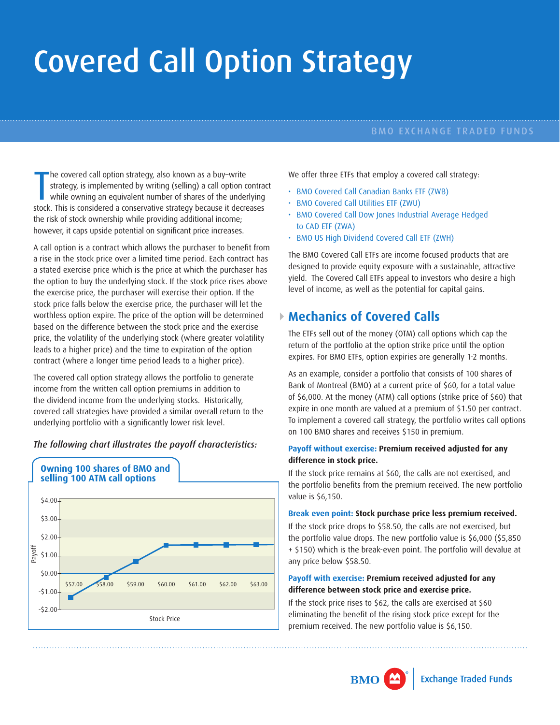# Covered Call Option Strategy

#### BMO EXCHANGE TRADED FUNDS

The covered call option strategy, also known as a buy-write<br>strategy, is implemented by writing (selling) a call option contrad<br>while owning an equivalent number of shares of the underlying<br>stock. This is considered a cons he covered call option strategy, also known as a buy–write strategy, is implemented by writing (selling) a call option contract while owning an equivalent number of shares of the underlying the risk of stock ownership while providing additional income; however, it caps upside potential on significant price increases.

A call option is a contract which allows the purchaser to benefit from a rise in the stock price over a limited time period. Each contract has a stated exercise price which is the price at which the purchaser has the option to buy the underlying stock. If the stock price rises above the exercise price, the purchaser will exercise their option. If the stock price falls below the exercise price, the purchaser will let the worthless option expire. The price of the option will be determined based on the difference between the stock price and the exercise price, the volatility of the underlying stock (where greater volatility leads to a higher price) and the time to expiration of the option contract (where a longer time period leads to a higher price).

The covered call option strategy allows the portfolio to generate income from the written call option premiums in addition to the dividend income from the underlying stocks. Historically, covered call strategies have provided a similar overall return to the underlying portfolio with a significantly lower risk level.

#### *The following chart illustrates the payoff characteristics:*



We offer three ETFs that employ a covered call strategy:

- BMO Covered Call Canadian Banks ETF (ZWB)
- BMO Covered Call Utilities ETF (ZWU)
- BMO Covered Call Dow Jones Industrial Average Hedged to CAD ETF (ZWA)
- BMO US High Dividend Covered Call ETF (ZWH)

The BMO Covered Call ETFs are income focused products that are designed to provide equity exposure with a sustainable, attractive yield. The Covered Call ETFs appeal to investors who desire a high level of income, as well as the potential for capital gains.

## **Mechanics of Covered Calls**

The ETFs sell out of the money (OTM) call options which cap the return of the portfolio at the option strike price until the option expires. For BMO ETFs, option expiries are generally 1-2 months.

As an example, consider a portfolio that consists of 100 shares of Bank of Montreal (BMO) at a current price of \$60, for a total value of \$6,000. At the money (ATM) call options (strike price of \$60) that expire in one month are valued at a premium of \$1.50 per contract. To implement a covered call strategy, the portfolio writes call options on 100 BMO shares and receives \$150 in premium.

#### **Payoff without exercise: Premium received adjusted for any difference in stock price.**

If the stock price remains at \$60, the calls are not exercised, and the portfolio benefits from the premium received. The new portfolio value is \$6,150.

#### **Break even point: Stock purchase price less premium received.**

If the stock price drops to \$58.50, the calls are not exercised, but the portfolio value drops. The new portfolio value is \$6,000 (\$5,850 + \$150) which is the break-even point. The portfolio will devalue at any price below \$58.50.

#### **Payoff with exercise: Premium received adjusted for any difference between stock price and exercise price.**

If the stock price rises to \$62, the calls are exercised at \$60 eliminating the benefit of the rising stock price except for the premium received. The new portfolio value is \$6,150.

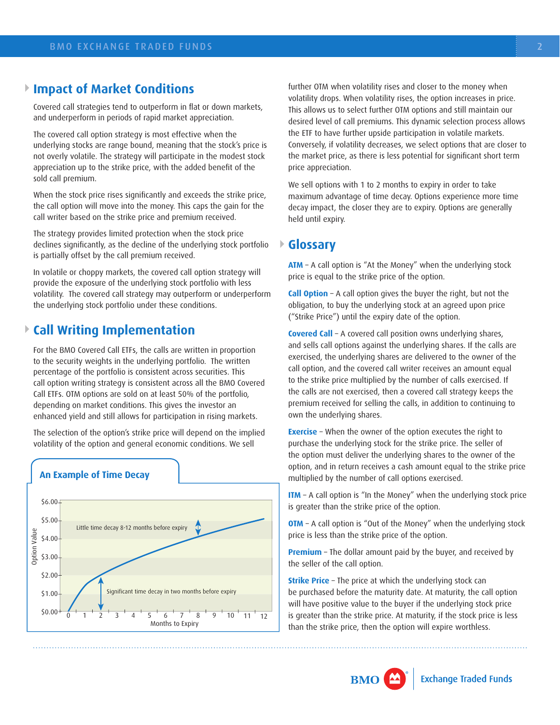## **Impact of Market Conditions**

Covered call strategies tend to outperform in flat or down markets, and underperform in periods of rapid market appreciation.

The covered call option strategy is most effective when the underlying stocks are range bound, meaning that the stock's price is not overly volatile. The strategy will participate in the modest stock appreciation up to the strike price, with the added benefit of the sold call premium.

When the stock price rises significantly and exceeds the strike price, the call option will move into the money. This caps the gain for the call writer based on the strike price and premium received.

The strategy provides limited protection when the stock price declines significantly, as the decline of the underlying stock portfolio is partially offset by the call premium received.

In volatile or choppy markets, the covered call option strategy will provide the exposure of the underlying stock portfolio with less volatility. The covered call strategy may outperform or underperform the underlying stock portfolio under these conditions.

## **Call Writing Implementation**

For the BMO Covered Call ETFs, the calls are written in proportion to the security weights in the underlying portfolio. The written percentage of the portfolio is consistent across securities. This call option writing strategy is consistent across all the BMO Covered Call ETFs. OTM options are sold on at least 50% of the portfolio, depending on market conditions. This gives the investor an enhanced yield and still allows for participation in rising markets.

The selection of the option's strike price will depend on the implied volatility of the option and general economic conditions. We sell



further OTM when volatility rises and closer to the money when volatility drops. When volatility rises, the option increases in price. This allows us to select further OTM options and still maintain our desired level of call premiums. This dynamic selection process allows the ETF to have further upside participation in volatile markets. Conversely, if volatility decreases, we select options that are closer to the market price, as there is less potential for significant short term price appreciation.

We sell options with 1 to 2 months to expiry in order to take maximum advantage of time decay. Options experience more time decay impact, the closer they are to expiry. Options are generally held until expiry.

## **Glossary**

**ATM** – A call option is "At the Money" when the underlying stock price is equal to the strike price of the option.

**Call Option** – A call option gives the buyer the right, but not the obligation, to buy the underlying stock at an agreed upon price ("Strike Price") until the expiry date of the option.

**Covered Call** – A covered call position owns underlying shares, and sells call options against the underlying shares. If the calls are exercised, the underlying shares are delivered to the owner of the call option, and the covered call writer receives an amount equal to the strike price multiplied by the number of calls exercised. If the calls are not exercised, then a covered call strategy keeps the premium received for selling the calls, in addition to continuing to own the underlying shares.

**Exercise** – When the owner of the option executes the right to purchase the underlying stock for the strike price. The seller of the option must deliver the underlying shares to the owner of the option, and in return receives a cash amount equal to the strike price multiplied by the number of call options exercised.

**ITM** – A call option is "In the Money" when the underlying stock price is greater than the strike price of the option.

**OTM** – A call option is "Out of the Money" when the underlying stock price is less than the strike price of the option.

**Premium** – The dollar amount paid by the buyer, and received by the seller of the call option.

**Strike Price** – The price at which the underlying stock can be purchased before the maturity date. At maturity, the call option will have positive value to the buyer if the underlying stock price is greater than the strike price. At maturity, if the stock price is less than the strike price, then the option will expire worthless.